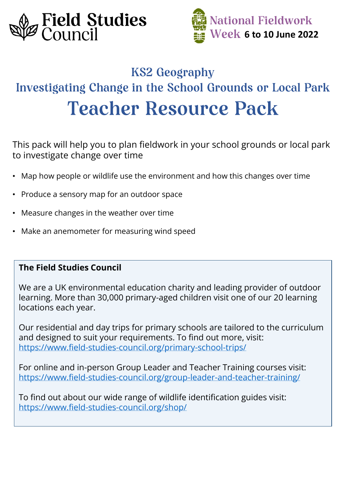



# **KS2 Geography Investigating Change in the School Grounds or Local Park Teacher Resource Pack**

This pack will help you to plan fieldwork in your school grounds or local park to investigate change over time

- Map how people or wildlife use the environment and how this changes over time
- Produce a sensory map for an outdoor space
- Measure changes in the weather over time
- Make an anemometer for measuring wind speed

## **The Field Studies Council**

We are a UK environmental education charity and leading provider of outdoor learning. More than 30,000 primary-aged children visit one of our 20 learning locations each year.

Our residential and day trips for primary schools are tailored to the curriculum and designed to suit your requirements. To find out more, visit: <https://www.field-studies-council.org/primary-school-trips/>

For online and in-person Group Leader and Teacher Training courses visit: <https://www.field-studies-council.org/group-leader-and-teacher-training/>

To find out about our wide range of wildlife identification guides visit: <https://www.field-studies-council.org/shop/>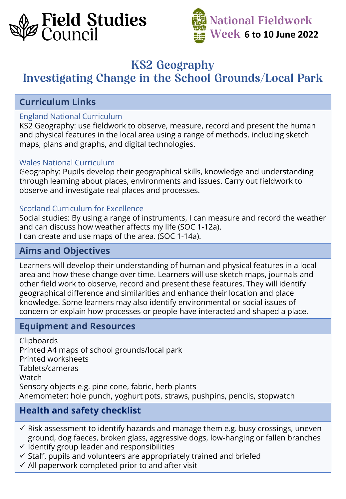



# **KS2 Geography**

# **Investigating Change in the School Grounds/Local Park**

## **Curriculum Links**

#### England National Curriculum

KS2 Geography: use fieldwork to observe, measure, record and present the human and physical features in the local area using a range of methods, including sketch maps, plans and graphs, and digital technologies.

#### Wales National Curriculum

Geography: Pupils develop their geographical skills, knowledge and understanding through learning about places, environments and issues. Carry out fieldwork to observe and investigate real places and processes.

#### Scotland Curriculum for Excellence

Social studies: By using a range of instruments, I can measure and record the weather and can discuss how weather affects my life (SOC 1-12a). I can create and use maps of the area. (SOC 1-14a).

## **Aims and Objectives**

Learners will develop their understanding of human and physical features in a local area and how these change over time. Learners will use sketch maps, journals and other field work to observe, record and present these features. They will identify geographical difference and similarities and enhance their location and place knowledge. Some learners may also identify environmental or social issues of concern or explain how processes or people have interacted and shaped a place.

## **Equipment and Resources**

Clipboards Printed A4 maps of school grounds/local park Printed worksheets Tablets/cameras Watch Sensory objects e.g. pine cone, fabric, herb plants Anemometer: hole punch, yoghurt pots, straws, pushpins, pencils, stopwatch

## **Health and safety checklist**

- $\checkmark$  Risk assessment to identify hazards and manage them e.g. busy crossings, uneven ground, dog faeces, broken glass, aggressive dogs, low-hanging or fallen branches
- ✓ Identify group leader and responsibilities
- $\checkmark$  Staff, pupils and volunteers are appropriately trained and briefed
- $\checkmark$  All paperwork completed prior to and after visit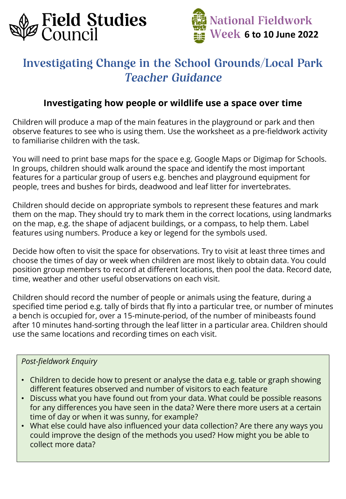



# **Investigating Change in the School Grounds/Local Park Teacher Guidance**

## **Investigating how people or wildlife use a space over time**

Children will produce a map of the main features in the playground or park and then observe features to see who is using them. Use the worksheet as a pre-fieldwork activity to familiarise children with the task.

You will need to print base maps for the space e.g. Google Maps or Digimap for Schools. In groups, children should walk around the space and identify the most important features for a particular group of users e.g. benches and playground equipment for people, trees and bushes for birds, deadwood and leaf litter for invertebrates.

Children should decide on appropriate symbols to represent these features and mark them on the map. They should try to mark them in the correct locations, using landmarks on the map, e.g. the shape of adjacent buildings, or a compass, to help them. Label features using numbers. Produce a key or legend for the symbols used.

Decide how often to visit the space for observations. Try to visit at least three times and choose the times of day or week when children are most likely to obtain data. You could position group members to record at different locations, then pool the data. Record date, time, weather and other useful observations on each visit.

Children should record the number of people or animals using the feature, during a specified time period e.g. tally of birds that fly into a particular tree, or number of minutes a bench is occupied for, over a 15-minute-period, of the number of minibeasts found after 10 minutes hand-sorting through the leaf litter in a particular area. Children should use the same locations and recording times on each visit.

## *Post-fieldwork Enquiry*

- Children to decide how to present or analyse the data e.g. table or graph showing different features observed and number of visitors to each feature
- Discuss what you have found out from your data. What could be possible reasons for any differences you have seen in the data? Were there more users at a certain time of day or when it was sunny, for example?
- What else could have also influenced your data collection? Are there any ways you could improve the design of the methods you used? How might you be able to collect more data?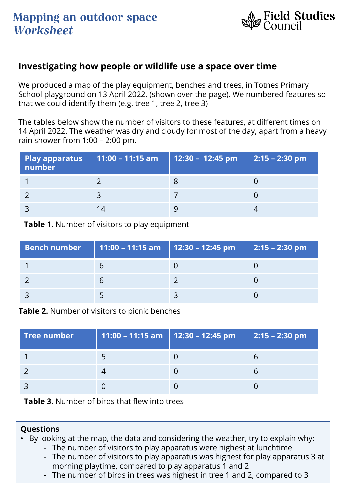

## **Investigating how people or wildlife use a space over time**

We produced a map of the play equipment, benches and trees, in Totnes Primary School playground on 13 April 2022, (shown over the page). We numbered features so that we could identify them (e.g. tree 1, tree 2, tree 3)

The tables below show the number of visitors to these features, at different times on 14 April 2022. The weather was dry and cloudy for most of the day, apart from a heavy rain shower from 1:00 – 2:00 pm.

| <b>Play apparatus</b><br>number | 11:00 – 11:15 am | 12:30 – $\overline{12:}45$ pm | 2:15 - 2:30 pm |
|---------------------------------|------------------|-------------------------------|----------------|
|                                 |                  |                               |                |
|                                 |                  |                               |                |
|                                 | I4               |                               |                |

**Table 1.** Number of visitors to play equipment

| Bench number   11:00 – 11:15 am   12:30 – 12:45 pm | 2:15 - 2:30 pm |
|----------------------------------------------------|----------------|
|                                                    |                |
|                                                    |                |
|                                                    |                |

**Table 2.** Number of visitors to picnic benches

| $\sf{Tree}$ number $\sf{C}$ | 11:00 - 11:15 am   12:30 - 12:45 pm | $ 2:15 - 2:30$ pm |
|-----------------------------|-------------------------------------|-------------------|
|                             |                                     |                   |
|                             |                                     |                   |
|                             |                                     |                   |

**Table 3.** Number of birds that flew into trees

#### **Questions**

• By looking at the map, the data and considering the weather, try to explain why:

- The number of visitors to play apparatus were highest at lunchtime
- The number of visitors to play apparatus was highest for play apparatus 3 at morning playtime, compared to play apparatus 1 and 2
- The number of birds in trees was highest in tree 1 and 2, compared to 3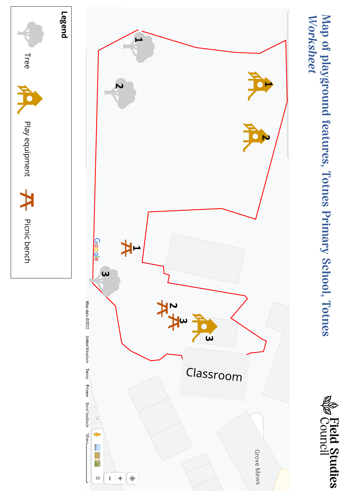

Map of playground features, Totnes Primary School, Totnes<br>Worksheet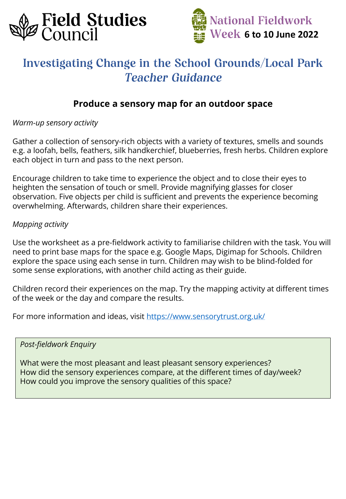



# **Investigating Change in the School Grounds/Local Park Teacher Guidance**

## **Produce a sensory map for an outdoor space**

*Warm-up sensory activity*

Gather a collection of sensory-rich objects with a variety of textures, smells and sounds e.g. a loofah, bells, feathers, silk handkerchief, blueberries, fresh herbs. Children explore each object in turn and pass to the next person.

Encourage children to take time to experience the object and to close their eyes to heighten the sensation of touch or smell. Provide magnifying glasses for closer observation. Five objects per child is sufficient and prevents the experience becoming overwhelming. Afterwards, children share their experiences.

#### *Mapping activity*

Use the worksheet as a pre-fieldwork activity to familiarise children with the task. You will need to print base maps for the space e.g. Google Maps, Digimap for Schools. Children explore the space using each sense in turn. Children may wish to be blind-folded for some sense explorations, with another child acting as their guide.

Children record their experiences on the map. Try the mapping activity at different times of the week or the day and compare the results.

For more information and ideas, visit <https://www.sensorytrust.org.uk/>

*Post-fieldwork Enquiry*

What were the most pleasant and least pleasant sensory experiences? How did the sensory experiences compare, at the different times of day/week? How could you improve the sensory qualities of this space?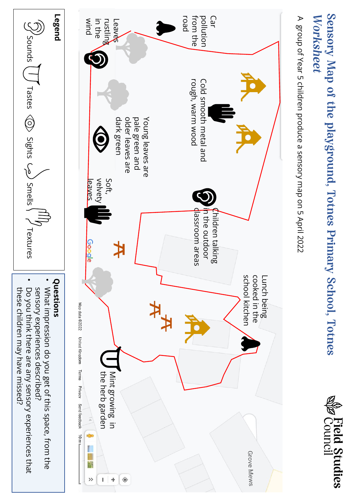# Sensory Map of the playground, Totnes Primary School, Totnes Worksheet



A group of Year 5 children produce a sensory map on 5 April 2022 A group of Year 5 children produce a sensory map on 5 April 2022





- What impression do you get of this space, from the sensory experiences described? What impression do you get of this space, from the sensory experiences described?
- these children may have missed? Do you think there are any sensory experiences that these children may have missed? Do you think there are any sensory experiences that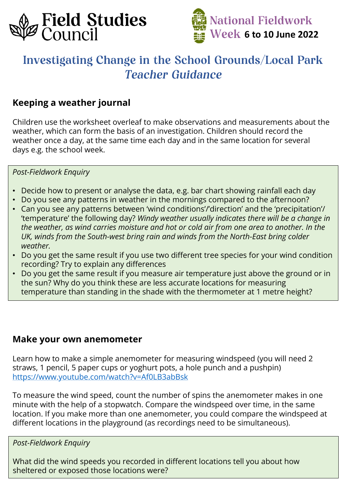



# **Investigating Change in the School Grounds/Local Park Teacher Guidance**

## **Keeping a weather journal**

Children use the worksheet overleaf to make observations and measurements about the weather, which can form the basis of an investigation. Children should record the weather once a day, at the same time each day and in the same location for several days e.g. the school week.

#### *Post-Fieldwork Enquiry*

- Decide how to present or analyse the data, e.g. bar chart showing rainfall each day
- Do you see any patterns in weather in the mornings compared to the afternoon?
- Can you see any patterns between 'wind conditions'/'direction' and the 'precipitation'/ 'temperature' the following day? *Windy weather usually indicates there will be a change in the weather, as wind carries moisture and hot or cold air from one area to another. In the UK, winds from the South-west bring rain and winds from the North-East bring colder weather.*
- Do you get the same result if you use two different tree species for your wind condition recording? Try to explain any differences
- Do you get the same result if you measure air temperature just above the ground or in the sun? Why do you think these are less accurate locations for measuring temperature than standing in the shade with the thermometer at 1 metre height?

## **Make your own anemometer**

Learn how to make a simple anemometer for measuring windspeed (you will need 2 straws, 1 pencil, 5 paper cups or yoghurt pots, a hole punch and a pushpin) <https://www.youtube.com/watch?v=Af0LB3abBsk>

To measure the wind speed, count the number of spins the anemometer makes in one minute with the help of a stopwatch. Compare the windspeed over time, in the same location. If you make more than one anemometer, you could compare the windspeed at different locations in the playground (as recordings need to be simultaneous).

*Post-Fieldwork Enquiry*

What did the wind speeds you recorded in different locations tell you about how sheltered or exposed those locations were?